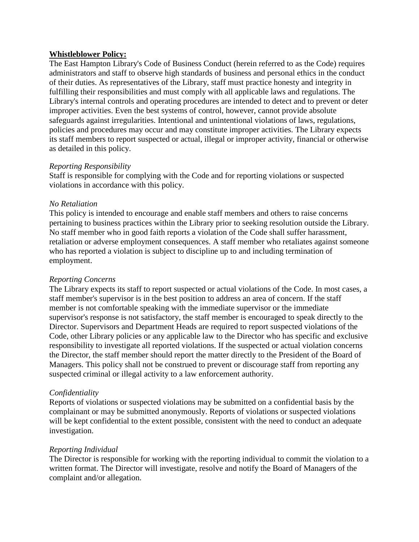## **Whistleblower Policy:**

The East Hampton Library's Code of Business Conduct (herein referred to as the Code) requires administrators and staff to observe high standards of business and personal ethics in the conduct of their duties. As representatives of the Library, staff must practice honesty and integrity in fulfilling their responsibilities and must comply with all applicable laws and regulations. The Library's internal controls and operating procedures are intended to detect and to prevent or deter improper activities. Even the best systems of control, however, cannot provide absolute safeguards against irregularities. Intentional and unintentional violations of laws, regulations, policies and procedures may occur and may constitute improper activities. The Library expects its staff members to report suspected or actual, illegal or improper activity, financial or otherwise as detailed in this policy.

## *Reporting Responsibility*

Staff is responsible for complying with the Code and for reporting violations or suspected violations in accordance with this policy.

## *No Retaliation*

This policy is intended to encourage and enable staff members and others to raise concerns pertaining to business practices within the Library prior to seeking resolution outside the Library. No staff member who in good faith reports a violation of the Code shall suffer harassment, retaliation or adverse employment consequences. A staff member who retaliates against someone who has reported a violation is subject to discipline up to and including termination of employment.

## *Reporting Concerns*

The Library expects its staff to report suspected or actual violations of the Code. In most cases, a staff member's supervisor is in the best position to address an area of concern. If the staff member is not comfortable speaking with the immediate supervisor or the immediate supervisor's response is not satisfactory, the staff member is encouraged to speak directly to the Director. Supervisors and Department Heads are required to report suspected violations of the Code, other Library policies or any applicable law to the Director who has specific and exclusive responsibility to investigate all reported violations. If the suspected or actual violation concerns the Director, the staff member should report the matter directly to the President of the Board of Managers. This policy shall not be construed to prevent or discourage staff from reporting any suspected criminal or illegal activity to a law enforcement authority.

# *Confidentiality*

Reports of violations or suspected violations may be submitted on a confidential basis by the complainant or may be submitted anonymously. Reports of violations or suspected violations will be kept confidential to the extent possible, consistent with the need to conduct an adequate investigation.

# *Reporting Individual*

The Director is responsible for working with the reporting individual to commit the violation to a written format. The Director will investigate, resolve and notify the Board of Managers of the complaint and/or allegation.